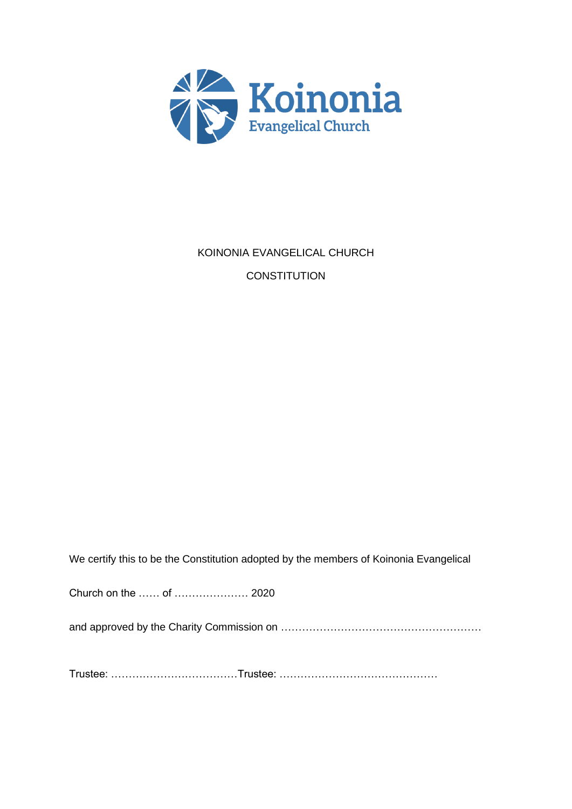

## KOINONIA EVANGELICAL CHURCH **CONSTITUTION**

We certify this to be the Constitution adopted by the members of Koinonia Evangelical

Church on the …… of ………………… 2020

and approved by the Charity Commission on …………………………………………………

Trustee: ………………………………Trustee: ………………………………………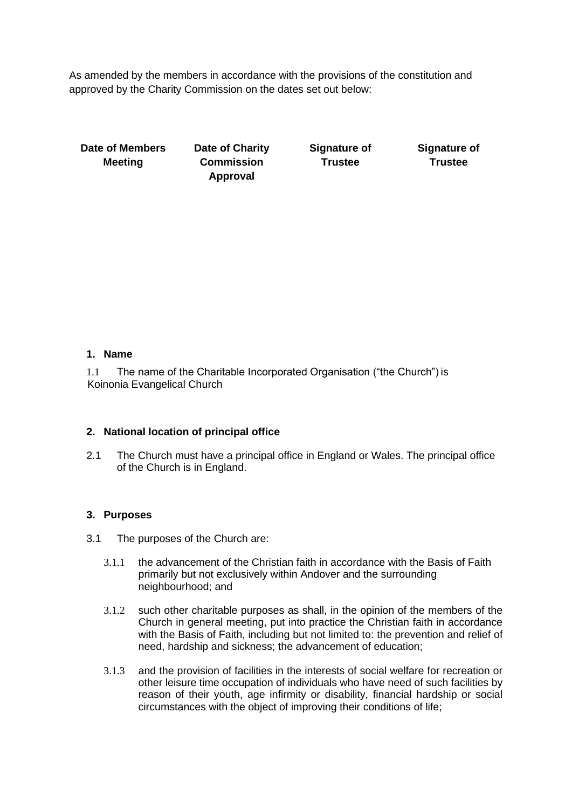As amended by the members in accordance with the provisions of the constitution and approved by the Charity Commission on the dates set out below:

**Date of Members Meeting**

**Date of Charity Commission Approval**

**Signature of Trustee**

**Signature of Trustee**

## **1. Name**

1.1 The name of the Charitable Incorporated Organisation ("the Church") is Koinonia Evangelical Church

## **2. National location of principal office**

2.1 The Church must have a principal office in England or Wales. The principal office of the Church is in England.

## <span id="page-1-0"></span>**3. Purposes**

- 3.1 The purposes of the Church are:
	- 3.1.1 the advancement of the Christian faith in accordance with the Basis of Faith primarily but not exclusively within Andover and the surrounding neighbourhood; and
	- 3.1.2 such other charitable purposes as shall, in the opinion of the members of the Church in general meeting, put into practice the Christian faith in accordance with the Basis of Faith, including but not limited to: the prevention and relief of need, hardship and sickness; the advancement of education;
	- 3.1.3 and the provision of facilities in the interests of social welfare for recreation or other leisure time occupation of individuals who have need of such facilities by reason of their youth, age infirmity or disability, financial hardship or social circumstances with the object of improving their conditions of life;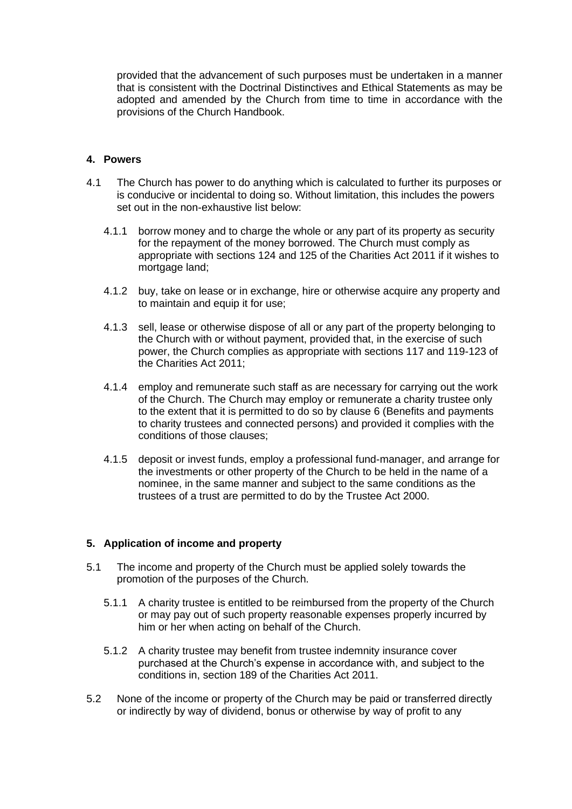provided that the advancement of such purposes must be undertaken in a manner that is consistent with the Doctrinal Distinctives and Ethical Statements as may be adopted and amended by the Church from time to time in accordance with the provisions of the Church Handbook.

## **4. Powers**

- 4.1 The Church has power to do anything which is calculated to further its purposes or is conducive or incidental to doing so. Without limitation, this includes the powers set out in the non-exhaustive list below:
	- 4.1.1 borrow money and to charge the whole or any part of its property as security for the repayment of the money borrowed. The Church must comply as appropriate with sections 124 and 125 of the Charities Act 2011 if it wishes to mortgage land;
	- 4.1.2 buy, take on lease or in exchange, hire or otherwise acquire any property and to maintain and equip it for use;
	- 4.1.3 sell, lease or otherwise dispose of all or any part of the property belonging to the Church with or without payment, provided that, in the exercise of such power, the Church complies as appropriate with sections 117 and 119-123 of the Charities Act 2011;
	- 4.1.4 employ and remunerate such staff as are necessary for carrying out the work of the Church. The Church may employ or remunerate a charity trustee only to the extent that it is permitted to do so by clause [6](#page-3-0) (Benefits and payments to charity trustees and connected persons) and provided it complies with the conditions of those clauses;
	- 4.1.5 deposit or invest funds, employ a professional fund-manager, and arrange for the investments or other property of the Church to be held in the name of a nominee, in the same manner and subject to the same conditions as the trustees of a trust are permitted to do by the Trustee Act 2000.

## **5. Application of income and property**

- 5.1 The income and property of the Church must be applied solely towards the promotion of the purposes of the Church.
	- 5.1.1 A charity trustee is entitled to be reimbursed from the property of the Church or may pay out of such property reasonable expenses properly incurred by him or her when acting on behalf of the Church.
	- 5.1.2 A charity trustee may benefit from trustee indemnity insurance cover purchased at the Church's expense in accordance with, and subject to the conditions in, section 189 of the Charities Act 2011.
- 5.2 None of the income or property of the Church may be paid or transferred directly or indirectly by way of dividend, bonus or otherwise by way of profit to any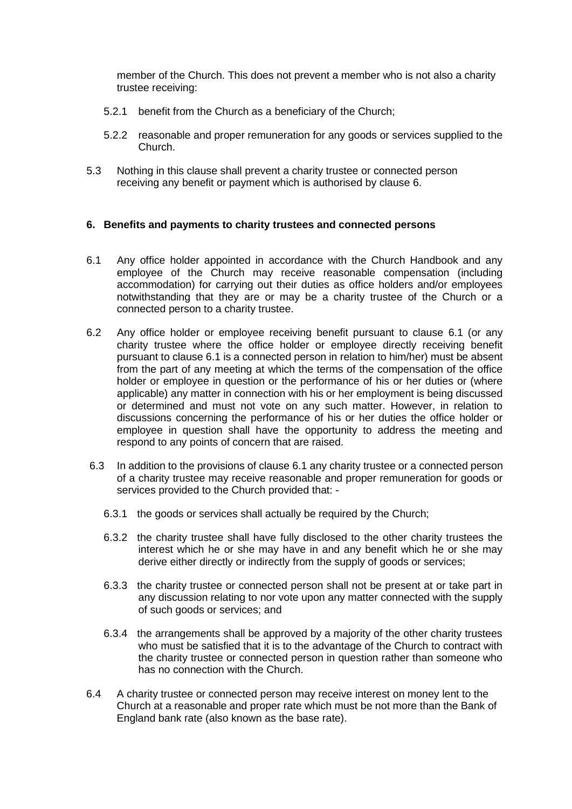member of the Church. This does not prevent a member who is not also a charity trustee receiving:

- 5.2.1 benefit from the Church as a beneficiary of the Church;
- 5.2.2 reasonable and proper remuneration for any goods or services supplied to the Church.
- 5.3 Nothing in this clause shall prevent a charity trustee or connected person receiving any benefit or payment which is authorised by clause [6.](#page-3-0)

#### <span id="page-3-0"></span>**6. Benefits and payments to charity trustees and connected persons**

- <span id="page-3-1"></span>6.1 Any office holder appointed in accordance with the Church Handbook and any employee of the Church may receive reasonable compensation (including accommodation) for carrying out their duties as office holders and/or employees notwithstanding that they are or may be a charity trustee of the Church or a connected person to a charity trustee.
- 6.2 Any office holder or employee receiving benefit pursuant to clause [6.1](#page-3-1) (or any charity trustee where the office holder or employee directly receiving benefit pursuant to clause [6.1](#page-3-1) is a connected person in relation to him/her) must be absent from the part of any meeting at which the terms of the compensation of the office holder or employee in question or the performance of his or her duties or (where applicable) any matter in connection with his or her employment is being discussed or determined and must not vote on any such matter. However, in relation to discussions concerning the performance of his or her duties the office holder or employee in question shall have the opportunity to address the meeting and respond to any points of concern that are raised.
- 6.3 In addition to the provisions of clause [6.1](#page-3-1) any charity trustee or a connected person of a charity trustee may receive reasonable and proper remuneration for goods or services provided to the Church provided that: -
	- 6.3.1 the goods or services shall actually be required by the Church;
	- 6.3.2 the charity trustee shall have fully disclosed to the other charity trustees the interest which he or she may have in and any benefit which he or she may derive either directly or indirectly from the supply of goods or services;
	- 6.3.3 the charity trustee or connected person shall not be present at or take part in any discussion relating to nor vote upon any matter connected with the supply of such goods or services; and
	- 6.3.4 the arrangements shall be approved by a majority of the other charity trustees who must be satisfied that it is to the advantage of the Church to contract with the charity trustee or connected person in question rather than someone who has no connection with the Church.
- 6.4 A charity trustee or connected person may receive interest on money lent to the Church at a reasonable and proper rate which must be not more than the Bank of England bank rate (also known as the base rate).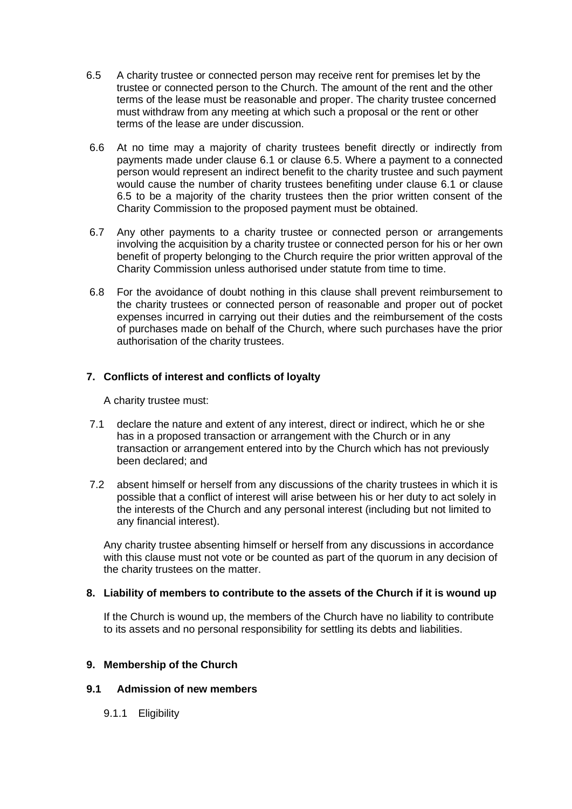- <span id="page-4-0"></span>6.5 A charity trustee or connected person may receive rent for premises let by the trustee or connected person to the Church. The amount of the rent and the other terms of the lease must be reasonable and proper. The charity trustee concerned must withdraw from any meeting at which such a proposal or the rent or other terms of the lease are under discussion.
- 6.6 At no time may a majority of charity trustees benefit directly or indirectly from payments made under clause [6.1](#page-3-1) or clause [6.5.](#page-4-0) Where a payment to a connected person would represent an indirect benefit to the charity trustee and such payment would cause the number of charity trustees benefiting under clause [6.1](#page-3-1) or clause [6.5](#page-4-0) to be a majority of the charity trustees then the prior written consent of the Charity Commission to the proposed payment must be obtained.
- 6.7 Any other payments to a charity trustee or connected person or arrangements involving the acquisition by a charity trustee or connected person for his or her own benefit of property belonging to the Church require the prior written approval of the Charity Commission unless authorised under statute from time to time.
- 6.8 For the avoidance of doubt nothing in this clause shall prevent reimbursement to the charity trustees or connected person of reasonable and proper out of pocket expenses incurred in carrying out their duties and the reimbursement of the costs of purchases made on behalf of the Church, where such purchases have the prior authorisation of the charity trustees.

## <span id="page-4-1"></span>**7. Conflicts of interest and conflicts of loyalty**

A charity trustee must:

- 7.1 declare the nature and extent of any interest, direct or indirect, which he or she has in a proposed transaction or arrangement with the Church or in any transaction or arrangement entered into by the Church which has not previously been declared; and
- 7.2 absent himself or herself from any discussions of the charity trustees in which it is possible that a conflict of interest will arise between his or her duty to act solely in the interests of the Church and any personal interest (including but not limited to any financial interest).

Any charity trustee absenting himself or herself from any discussions in accordance with this clause must not vote or be counted as part of the quorum in any decision of the charity trustees on the matter.

## **8. Liability of members to contribute to the assets of the Church if it is wound up**

If the Church is wound up, the members of the Church have no liability to contribute to its assets and no personal responsibility for settling its debts and liabilities.

## **9. Membership of the Church**

#### **9.1 Admission of new members**

9.1.1 Eligibility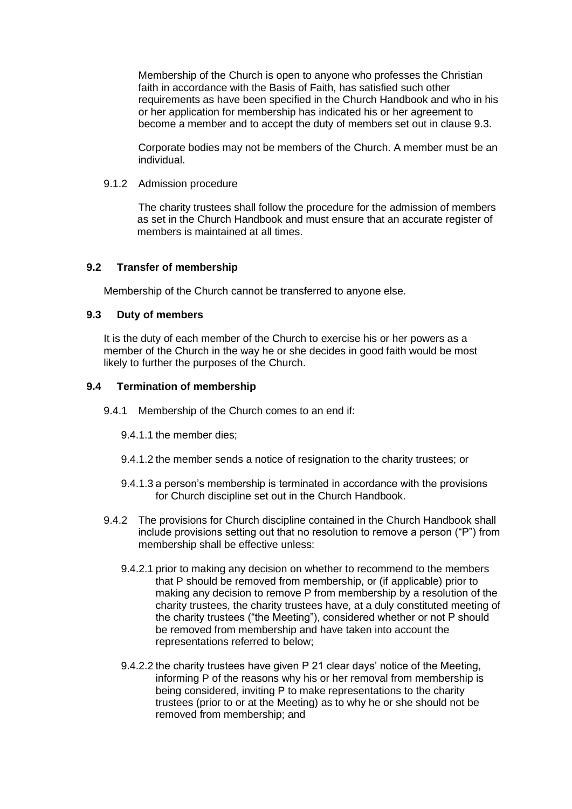Membership of the Church is open to anyone who professes the Christian faith in accordance with the Basis of Faith, has satisfied such other requirements as have been specified in the Church Handbook and who in his or her application for membership has indicated his or her agreement to become a member and to accept the duty of members set out in clause 9.3.

Corporate bodies may not be members of the Church. A member must be an individual.

#### 9.1.2 Admission procedure

The charity trustees shall follow the procedure for the admission of members as set in the Church Handbook and must ensure that an accurate register of members is maintained at all times.

#### **9.2 Transfer of membership**

Membership of the Church cannot be transferred to anyone else.

#### **9.3 Duty of members**

It is the duty of each member of the Church to exercise his or her powers as a member of the Church in the way he or she decides in good faith would be most likely to further the purposes of the Church.

## **9.4 Termination of membership**

- 9.4.1 Membership of the Church comes to an end if:
	- 9.4.1.1 the member dies;
	- 9.4.1.2 the member sends a notice of resignation to the charity trustees; or
	- 9.4.1.3 a person's membership is terminated in accordance with the provisions for Church discipline set out in the Church Handbook.
- 9.4.2 The provisions for Church discipline contained in the Church Handbook shall include provisions setting out that no resolution to remove a person ("P") from membership shall be effective unless:
	- 9.4.2.1 prior to making any decision on whether to recommend to the members that P should be removed from membership, or (if applicable) prior to making any decision to remove P from membership by a resolution of the charity trustees, the charity trustees have, at a duly constituted meeting of the charity trustees ("the Meeting"), considered whether or not P should be removed from membership and have taken into account the representations referred to below;
	- 9.4.2.2 the charity trustees have given P 21 clear days' notice of the Meeting, informing P of the reasons why his or her removal from membership is being considered, inviting P to make representations to the charity trustees (prior to or at the Meeting) as to why he or she should not be removed from membership; and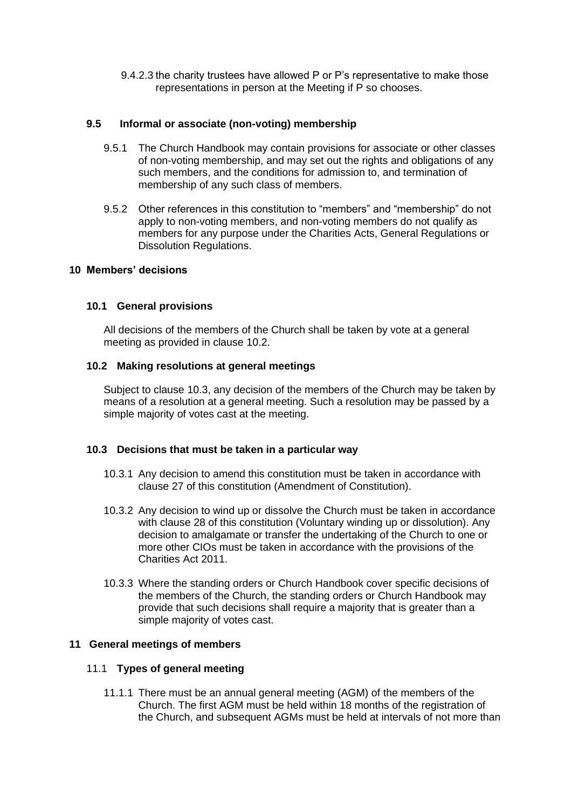9.4.2.3 the charity trustees have allowed P or P's representative to make those representations in person at the Meeting if P so chooses.

## **9.5 Informal or associate (non-voting) membership**

- 9.5.1 The Church Handbook may contain provisions for associate or other classes of non-voting membership, and may set out the rights and obligations of any such members, and the conditions for admission to, and termination of membership of any such class of members.
- 9.5.2 Other references in this constitution to "members" and "membership" do not apply to non-voting members, and non-voting members do not qualify as members for any purpose under the Charities Acts, General Regulations or Dissolution Regulations.

## **10 Members' decisions**

## **10.1 General provisions**

All decisions of the members of the Church shall be taken by vote at a general meeting as provided in clause [10.2.](#page-6-0)

## <span id="page-6-0"></span>**10.2 Making resolutions at general meetings**

Subject to clause [10.3,](#page-6-1) any decision of the members of the Church may be taken by means of a resolution at a general meeting. Such a resolution may be passed by a simple majority of votes cast at the meeting.

## <span id="page-6-1"></span>**10.3 Decisions that must be taken in a particular way**

- 10.3.1 Any decision to amend this constitution must be taken in accordance with clause [27](#page-18-0) of this constitution (Amendment of Constitution).
- 10.3.2 Any decision to wind up or dissolve the Church must be taken in accordance with clause [28](#page-18-1) of this constitution (Voluntary winding up or dissolution). Any decision to amalgamate or transfer the undertaking of the Church to one or more other CIOs must be taken in accordance with the provisions of the Charities Act 2011.
- 10.3.3 Where the standing orders or Church Handbook cover specific decisions of the members of the Church, the standing orders or Church Handbook may provide that such decisions shall require a majority that is greater than a simple majority of votes cast.

## <span id="page-6-2"></span>**11 General meetings of members**

## <span id="page-6-3"></span>11.1 **Types of general meeting**

11.1.1 There must be an annual general meeting (AGM) of the members of the Church. The first AGM must be held within 18 months of the registration of the Church, and subsequent AGMs must be held at intervals of not more than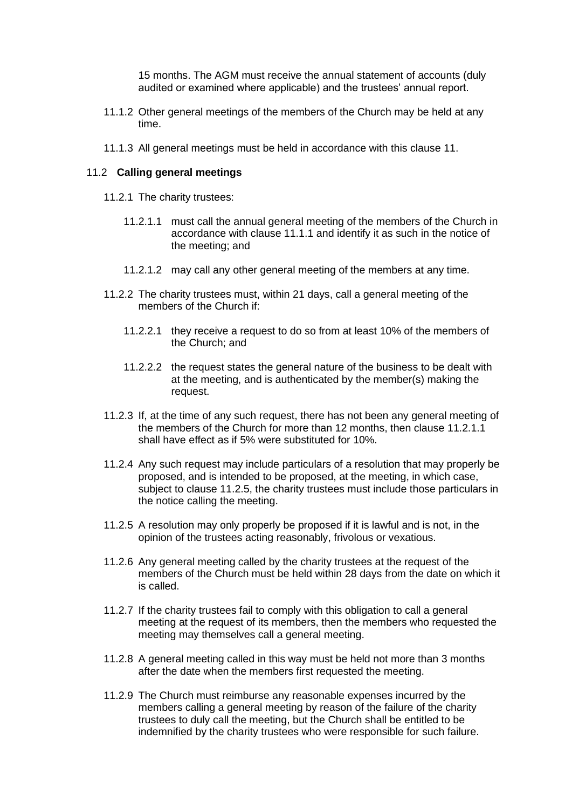15 months. The AGM must receive the annual statement of accounts (duly audited or examined where applicable) and the trustees' annual report.

- 11.1.2 Other general meetings of the members of the Church may be held at any time.
- 11.1.3 All general meetings must be held in accordance with this clause [11.](#page-6-2)

#### 11.2 **Calling general meetings**

- <span id="page-7-0"></span>11.2.1 The charity trustees:
	- 11.2.1.1 must call the annual general meeting of the members of the Church in accordance with clause [11.1.1](#page-6-3) and identify it as such in the notice of the meeting; and
	- 11.2.1.2 may call any other general meeting of the members at any time.
- 11.2.2 The charity trustees must, within 21 days, call a general meeting of the members of the Church if:
	- 11.2.2.1 they receive a request to do so from at least 10% of the members of the Church; and
	- 11.2.2.2 the request states the general nature of the business to be dealt with at the meeting, and is authenticated by the member(s) making the request.
- <span id="page-7-2"></span>11.2.3 If, at the time of any such request, there has not been any general meeting of the members of the Church for more than 12 months, then clause [11.2.1.1](#page-7-0) shall have effect as if 5% were substituted for 10%.
- 11.2.4 Any such request may include particulars of a resolution that may properly be proposed, and is intended to be proposed, at the meeting, in which case, subject to clause [11.2.5,](#page-7-1) the charity trustees must include those particulars in the notice calling the meeting.
- <span id="page-7-1"></span>11.2.5 A resolution may only properly be proposed if it is lawful and is not, in the opinion of the trustees acting reasonably, frivolous or vexatious.
- 11.2.6 Any general meeting called by the charity trustees at the request of the members of the Church must be held within 28 days from the date on which it is called.
- 11.2.7 If the charity trustees fail to comply with this obligation to call a general meeting at the request of its members, then the members who requested the meeting may themselves call a general meeting.
- 11.2.8 A general meeting called in this way must be held not more than 3 months after the date when the members first requested the meeting.
- 11.2.9 The Church must reimburse any reasonable expenses incurred by the members calling a general meeting by reason of the failure of the charity trustees to duly call the meeting, but the Church shall be entitled to be indemnified by the charity trustees who were responsible for such failure.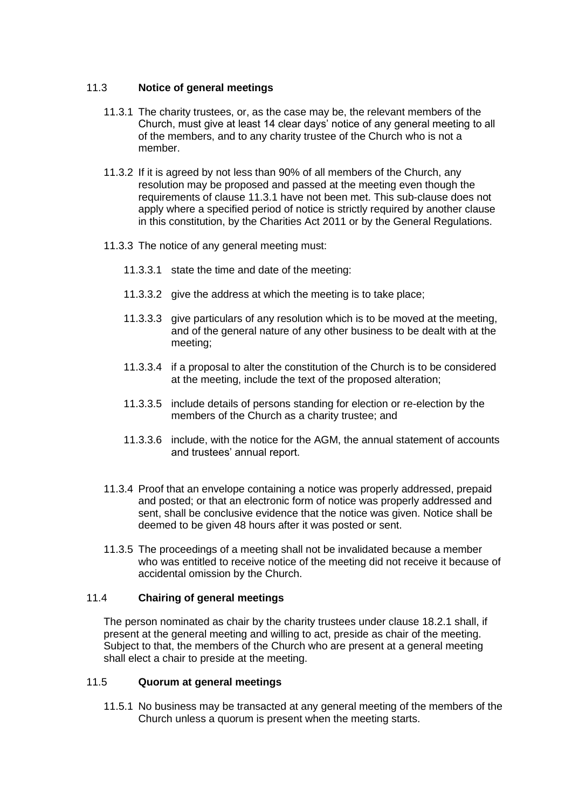## <span id="page-8-1"></span><span id="page-8-0"></span>11.3 **Notice of general meetings**

- 11.3.1 The charity trustees, or, as the case may be, the relevant members of the Church, must give at least 14 clear days' notice of any general meeting to all of the members, and to any charity trustee of the Church who is not a member.
- 11.3.2 If it is agreed by not less than 90% of all members of the Church, any resolution may be proposed and passed at the meeting even though the requirements of clause [11.3.1](#page-8-0) have not been met. This sub-clause does not apply where a specified period of notice is strictly required by another clause in this constitution, by the Charities Act 2011 or by the General Regulations.
- 11.3.3 The notice of any general meeting must:
	- 11.3.3.1 state the time and date of the meeting:
	- 11.3.3.2 give the address at which the meeting is to take place;
	- 11.3.3.3 give particulars of any resolution which is to be moved at the meeting, and of the general nature of any other business to be dealt with at the meeting;
	- 11.3.3.4 if a proposal to alter the constitution of the Church is to be considered at the meeting, include the text of the proposed alteration;
	- 11.3.3.5 include details of persons standing for election or re-election by the members of the Church as a charity trustee; and
	- 11.3.3.6 include, with the notice for the AGM, the annual statement of accounts and trustees' annual report.
- 11.3.4 Proof that an envelope containing a notice was properly addressed, prepaid and posted; or that an electronic form of notice was properly addressed and sent, shall be conclusive evidence that the notice was given. Notice shall be deemed to be given 48 hours after it was posted or sent.
- 11.3.5 The proceedings of a meeting shall not be invalidated because a member who was entitled to receive notice of the meeting did not receive it because of accidental omission by the Church.

## 11.4 **Chairing of general meetings**

The person nominated as chair by the charity trustees under clause [18.2.1](#page-14-0) shall, if present at the general meeting and willing to act, preside as chair of the meeting. Subject to that, the members of the Church who are present at a general meeting shall elect a chair to preside at the meeting.

#### 11.5 **Quorum at general meetings**

11.5.1 No business may be transacted at any general meeting of the members of the Church unless a quorum is present when the meeting starts.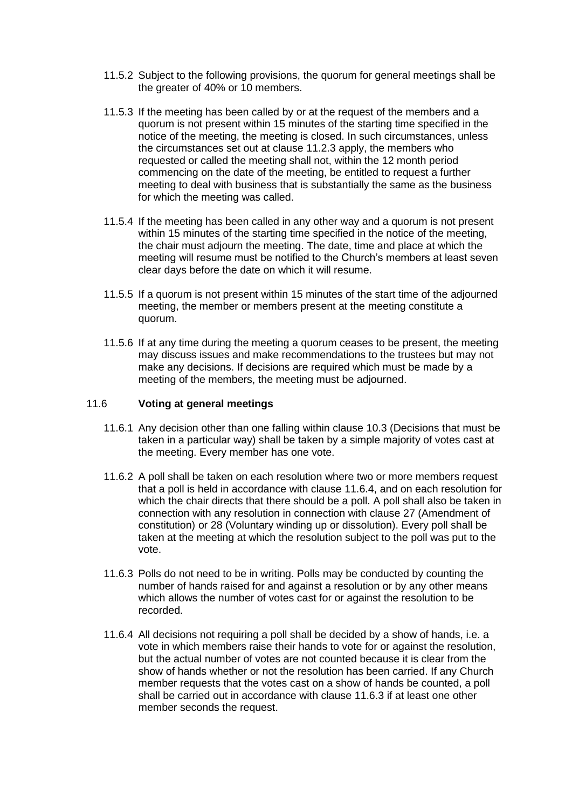- 11.5.2 Subject to the following provisions, the quorum for general meetings shall be the greater of 40% or 10 members.
- 11.5.3 If the meeting has been called by or at the request of the members and a quorum is not present within 15 minutes of the starting time specified in the notice of the meeting, the meeting is closed. In such circumstances, unless the circumstances set out at clause [11.2.3](#page-7-2) apply, the members who requested or called the meeting shall not, within the 12 month period commencing on the date of the meeting, be entitled to request a further meeting to deal with business that is substantially the same as the business for which the meeting was called.
- 11.5.4 If the meeting has been called in any other way and a quorum is not present within 15 minutes of the starting time specified in the notice of the meeting, the chair must adjourn the meeting. The date, time and place at which the meeting will resume must be notified to the Church's members at least seven clear days before the date on which it will resume.
- 11.5.5 If a quorum is not present within 15 minutes of the start time of the adjourned meeting, the member or members present at the meeting constitute a quorum.
- 11.5.6 If at any time during the meeting a quorum ceases to be present, the meeting may discuss issues and make recommendations to the trustees but may not make any decisions. If decisions are required which must be made by a meeting of the members, the meeting must be adjourned.

### 11.6 **Voting at general meetings**

- 11.6.1 Any decision other than one falling within clause [10.3](#page-6-1) (Decisions that must be taken in a particular way) shall be taken by a simple majority of votes cast at the meeting. Every member has one vote.
- 11.6.2 A poll shall be taken on each resolution where two or more members request that a poll is held in accordance with clause [11.6.4,](#page-9-0) and on each resolution for which the chair directs that there should be a poll. A poll shall also be taken in connection with any resolution in connection with clause [27](#page-18-0) (Amendment of constitution) or [28](#page-18-1) (Voluntary winding up or dissolution). Every poll shall be taken at the meeting at which the resolution subject to the poll was put to the vote.
- <span id="page-9-1"></span>11.6.3 Polls do not need to be in writing. Polls may be conducted by counting the number of hands raised for and against a resolution or by any other means which allows the number of votes cast for or against the resolution to be recorded.
- <span id="page-9-0"></span>11.6.4 All decisions not requiring a poll shall be decided by a show of hands, i.e. a vote in which members raise their hands to vote for or against the resolution, but the actual number of votes are not counted because it is clear from the show of hands whether or not the resolution has been carried. If any Church member requests that the votes cast on a show of hands be counted, a poll shall be carried out in accordance with clause [11.6.3](#page-9-1) if at least one other member seconds the request.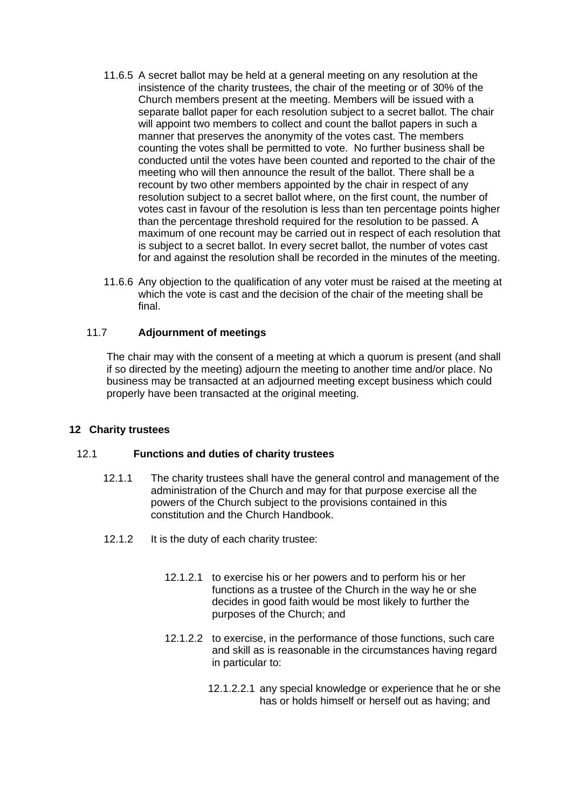- 11.6.5 A secret ballot may be held at a general meeting on any resolution at the insistence of the charity trustees, the chair of the meeting or of 30% of the Church members present at the meeting. Members will be issued with a separate ballot paper for each resolution subject to a secret ballot. The chair will appoint two members to collect and count the ballot papers in such a manner that preserves the anonymity of the votes cast. The members counting the votes shall be permitted to vote. No further business shall be conducted until the votes have been counted and reported to the chair of the meeting who will then announce the result of the ballot. There shall be a recount by two other members appointed by the chair in respect of any resolution subject to a secret ballot where, on the first count, the number of votes cast in favour of the resolution is less than ten percentage points higher than the percentage threshold required for the resolution to be passed. A maximum of one recount may be carried out in respect of each resolution that is subject to a secret ballot. In every secret ballot, the number of votes cast for and against the resolution shall be recorded in the minutes of the meeting.
- 11.6.6 Any objection to the qualification of any voter must be raised at the meeting at which the vote is cast and the decision of the chair of the meeting shall be final.

## 11.7 **Adjournment of meetings**

The chair may with the consent of a meeting at which a quorum is present (and shall if so directed by the meeting) adjourn the meeting to another time and/or place. No business may be transacted at an adjourned meeting except business which could properly have been transacted at the original meeting.

## **12 Charity trustees**

#### 12.1 **Functions and duties of charity trustees**

- 12.1.1 The charity trustees shall have the general control and management of the administration of the Church and may for that purpose exercise all the powers of the Church subject to the provisions contained in this constitution and the Church Handbook.
- 12.1.2 It is the duty of each charity trustee:
	- 12.1.2.1 to exercise his or her powers and to perform his or her functions as a trustee of the Church in the way he or she decides in good faith would be most likely to further the purposes of the Church; and
	- 12.1.2.2 to exercise, in the performance of those functions, such care and skill as is reasonable in the circumstances having regard in particular to:
		- 12.1.2.2.1 any special knowledge or experience that he or she has or holds himself or herself out as having; and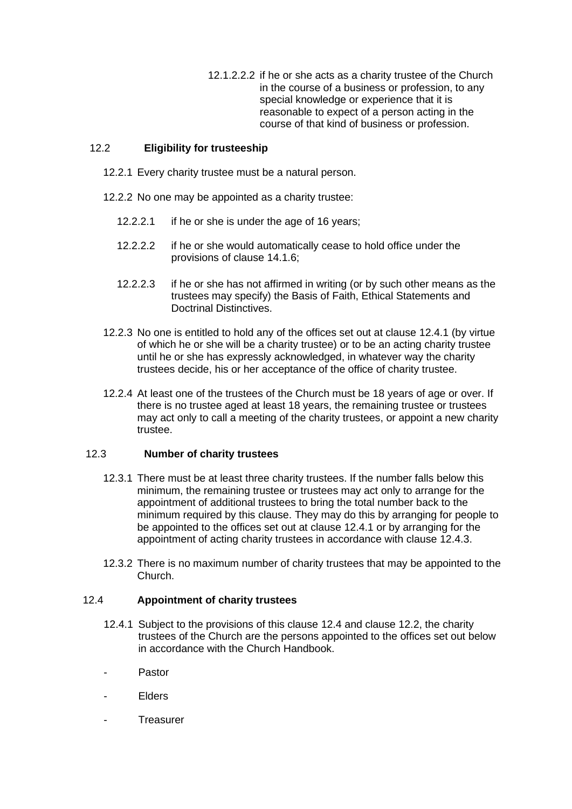12.1.2.2.2 if he or she acts as a charity trustee of the Church in the course of a business or profession, to any special knowledge or experience that it is reasonable to expect of a person acting in the course of that kind of business or profession.

## <span id="page-11-2"></span>12.2 **Eligibility for trusteeship**

- 12.2.1 Every charity trustee must be a natural person.
- 12.2.2 No one may be appointed as a charity trustee:
	- 12.2.2.1 if he or she is under the age of 16 years;
	- 12.2.2.2 if he or she would automatically cease to hold office under the provisions of clause [14.1.6;](#page-13-0)
	- 12.2.2.3 if he or she has not affirmed in writing (or by such other means as the trustees may specify) the Basis of Faith, Ethical Statements and Doctrinal Distinctives.
- 12.2.3 No one is entitled to hold any of the offices set out at clause [12.4.1](#page-11-0) (by virtue of which he or she will be a charity trustee) or to be an acting charity trustee until he or she has expressly acknowledged, in whatever way the charity trustees decide, his or her acceptance of the office of charity trustee.
- 12.2.4 At least one of the trustees of the Church must be 18 years of age or over. If there is no trustee aged at least 18 years, the remaining trustee or trustees may act only to call a meeting of the charity trustees, or appoint a new charity trustee.

## <span id="page-11-3"></span>12.3 **Number of charity trustees**

- 12.3.1 There must be at least three charity trustees. If the number falls below this minimum, the remaining trustee or trustees may act only to arrange for the appointment of additional trustees to bring the total number back to the minimum required by this clause. They may do this by arranging for people to be appointed to the offices set out at clause [12.4.1](#page-11-0) or by arranging for the appointment of acting charity trustees in accordance with clause [12.4.3.](#page-12-0)
- 12.3.2 There is no maximum number of charity trustees that may be appointed to the Church.

## <span id="page-11-1"></span><span id="page-11-0"></span>12.4 **Appointment of charity trustees**

- 12.4.1 Subject to the provisions of this clause [12.4](#page-11-1) and clause [12.2,](#page-11-2) the charity trustees of the Church are the persons appointed to the offices set out below in accordance with the Church Handbook.
- Pastor
- **Flders**
- **Treasurer**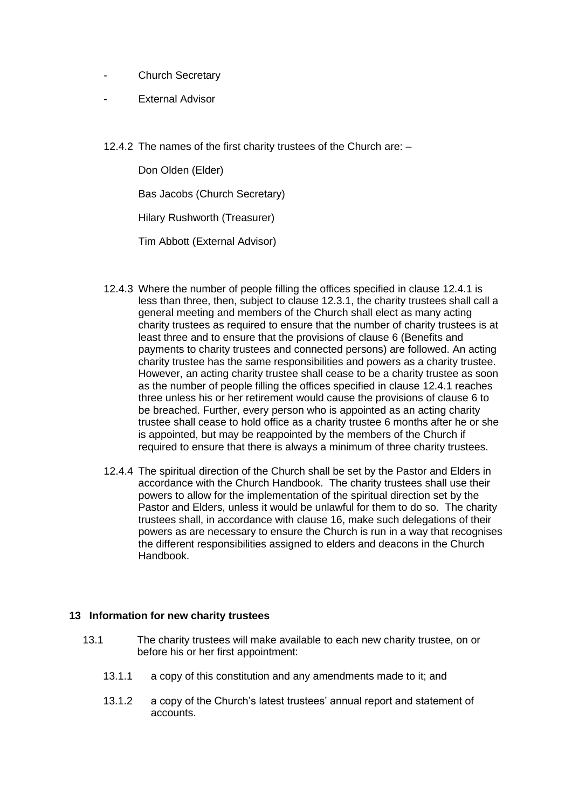- Church Secretary
- **External Advisor**
- 12.4.2 The names of the first charity trustees of the Church are: –

Don Olden (Elder) Bas Jacobs (Church Secretary) Hilary Rushworth (Treasurer) Tim Abbott (External Advisor)

- <span id="page-12-0"></span>12.4.3 Where the number of people filling the offices specified in clause [12.4.1](#page-11-0) is less than three, then, subject to clause [12.3.1,](#page-11-3) the charity trustees shall call a general meeting and members of the Church shall elect as many acting charity trustees as required to ensure that the number of charity trustees is at least three and to ensure that the provisions of clause [6](#page-3-0) (Benefits and payments to charity trustees and connected persons) are followed. An acting charity trustee has the same responsibilities and powers as a charity trustee. However, an acting charity trustee shall cease to be a charity trustee as soon as the number of people filling the offices specified in clause [12.4.1](#page-11-0) reaches three unless his or her retirement would cause the provisions of clause [6](#page-3-0) to be breached. Further, every person who is appointed as an acting charity trustee shall cease to hold office as a charity trustee 6 months after he or she is appointed, but may be reappointed by the members of the Church if required to ensure that there is always a minimum of three charity trustees.
- 12.4.4 The spiritual direction of the Church shall be set by the Pastor and Elders in accordance with the Church Handbook. The charity trustees shall use their powers to allow for the implementation of the spiritual direction set by the Pastor and Elders, unless it would be unlawful for them to do so. The charity trustees shall, in accordance with clause 16, make such delegations of their powers as are necessary to ensure the Church is run in a way that recognises the different responsibilities assigned to elders and deacons in the Church Handbook.

## **13 Information for new charity trustees**

- 13.1 The charity trustees will make available to each new charity trustee, on or before his or her first appointment:
	- 13.1.1 a copy of this constitution and any amendments made to it; and
	- 13.1.2 a copy of the Church's latest trustees' annual report and statement of accounts.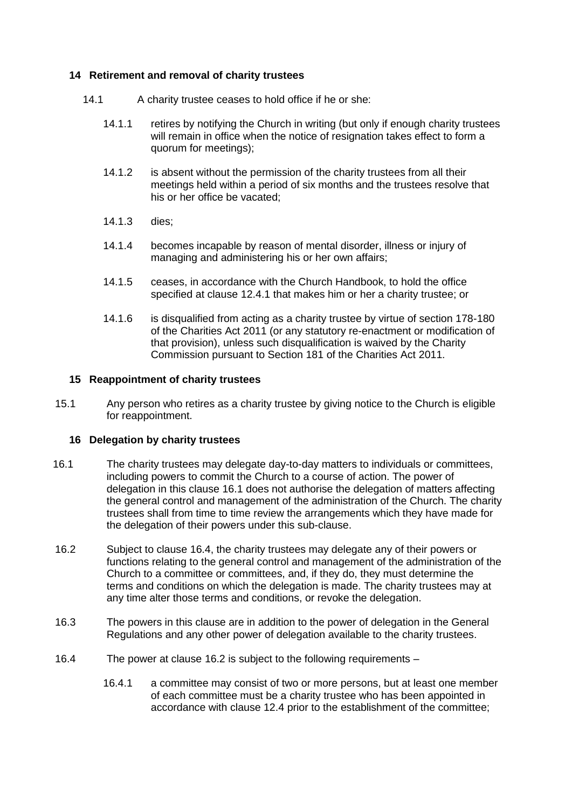### **14 Retirement and removal of charity trustees**

- 14.1 A charity trustee ceases to hold office if he or she:
	- 14.1.1 retires by notifying the Church in writing (but only if enough charity trustees will remain in office when the notice of resignation takes effect to form a quorum for meetings);
	- 14.1.2 is absent without the permission of the charity trustees from all their meetings held within a period of six months and the trustees resolve that his or her office be vacated;
	- 14.1.3 dies;
	- 14.1.4 becomes incapable by reason of mental disorder, illness or injury of managing and administering his or her own affairs;
	- 14.1.5 ceases, in accordance with the Church Handbook, to hold the office specified at clause [12.4.1](#page-11-0) that makes him or her a charity trustee; or
	- 14.1.6 is disqualified from acting as a charity trustee by virtue of section 178-180 of the Charities Act 2011 (or any statutory re-enactment or modification of that provision), unless such disqualification is waived by the Charity Commission pursuant to Section 181 of the Charities Act 2011.

#### <span id="page-13-0"></span>**15 Reappointment of charity trustees**

15.1 Any person who retires as a charity trustee by giving notice to the Church is eligible for reappointment.

#### **16 Delegation by charity trustees**

- <span id="page-13-1"></span>16.1 The charity trustees may delegate day-to-day matters to individuals or committees, including powers to commit the Church to a course of action. The power of delegation in this clause [16.1](#page-13-1) does not authorise the delegation of matters affecting the general control and management of the administration of the Church. The charity trustees shall from time to time review the arrangements which they have made for the delegation of their powers under this sub-clause.
- <span id="page-13-3"></span>16.2 Subject to clause [16.4,](#page-13-2) the charity trustees may delegate any of their powers or functions relating to the general control and management of the administration of the Church to a committee or committees, and, if they do, they must determine the terms and conditions on which the delegation is made. The charity trustees may at any time alter those terms and conditions, or revoke the delegation.
- 16.3 The powers in this clause are in addition to the power of delegation in the General Regulations and any other power of delegation available to the charity trustees.
- <span id="page-13-2"></span>16.4 The power at clause [16.2](#page-13-3) is subject to the following requirements –
	- 16.4.1 a committee may consist of two or more persons, but at least one member of each committee must be a charity trustee who has been appointed in accordance with clause [12.4](#page-11-1) prior to the establishment of the committee;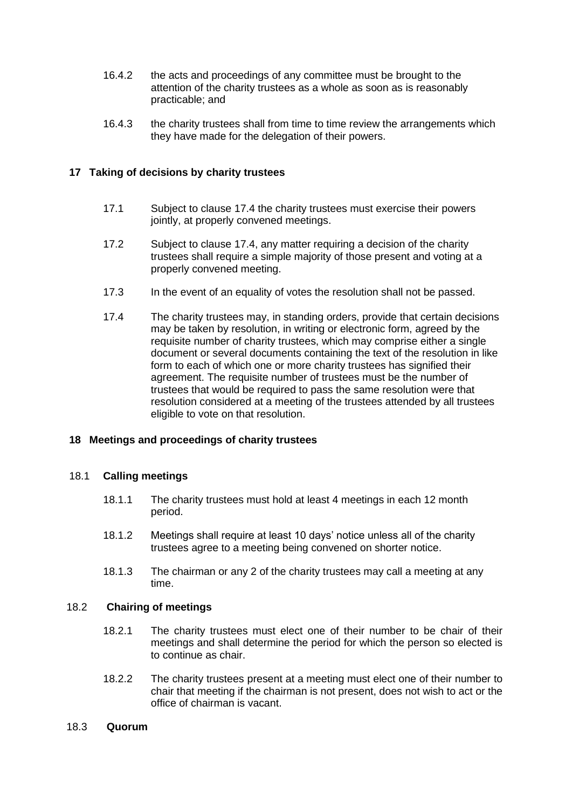- 16.4.2 the acts and proceedings of any committee must be brought to the attention of the charity trustees as a whole as soon as is reasonably practicable; and
- 16.4.3 the charity trustees shall from time to time review the arrangements which they have made for the delegation of their powers.

## **17 Taking of decisions by charity trustees**

- 17.1 Subject to clause [17.4](#page-14-1) the charity trustees must exercise their powers jointly, at properly convened meetings.
- 17.2 Subject to clause [17.4,](#page-14-1) any matter requiring a decision of the charity trustees shall require a simple majority of those present and voting at a properly convened meeting.
- 17.3 In the event of an equality of votes the resolution shall not be passed.
- <span id="page-14-1"></span>17.4 The charity trustees may, in standing orders, provide that certain decisions may be taken by resolution, in writing or electronic form, agreed by the requisite number of charity trustees, which may comprise either a single document or several documents containing the text of the resolution in like form to each of which one or more charity trustees has signified their agreement. The requisite number of trustees must be the number of trustees that would be required to pass the same resolution were that resolution considered at a meeting of the trustees attended by all trustees eligible to vote on that resolution.

## **18 Meetings and proceedings of charity trustees**

## <span id="page-14-2"></span>18.1 **Calling meetings**

- 18.1.1 The charity trustees must hold at least 4 meetings in each 12 month period.
- 18.1.2 Meetings shall require at least 10 days' notice unless all of the charity trustees agree to a meeting being convened on shorter notice.
- 18.1.3 The chairman or any 2 of the charity trustees may call a meeting at any time.

#### <span id="page-14-0"></span>18.2 **Chairing of meetings**

- 18.2.1 The charity trustees must elect one of their number to be chair of their meetings and shall determine the period for which the person so elected is to continue as chair.
- 18.2.2 The charity trustees present at a meeting must elect one of their number to chair that meeting if the chairman is not present, does not wish to act or the office of chairman is vacant.
- 18.3 **Quorum**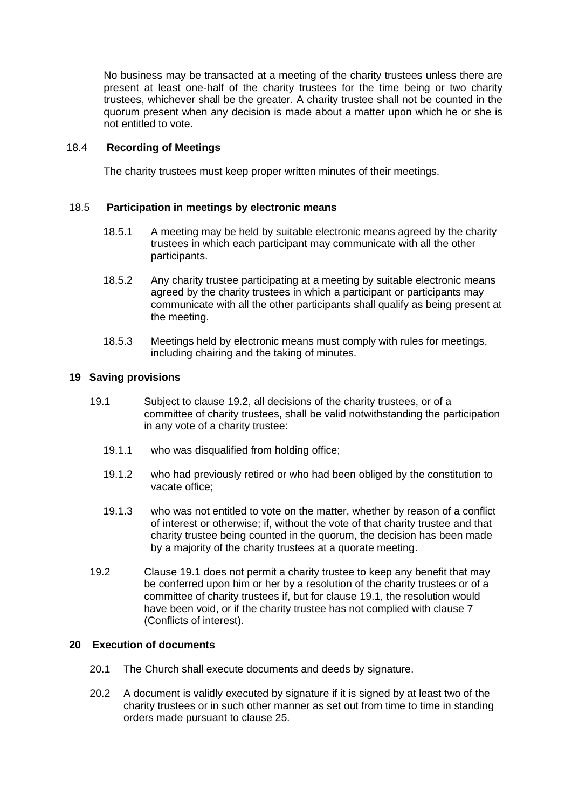No business may be transacted at a meeting of the charity trustees unless there are present at least one-half of the charity trustees for the time being or two charity trustees, whichever shall be the greater. A charity trustee shall not be counted in the quorum present when any decision is made about a matter upon which he or she is not entitled to vote.

### 18.4 **Recording of Meetings**

The charity trustees must keep proper written minutes of their meetings.

#### 18.5 **Participation in meetings by electronic means**

- 18.5.1 A meeting may be held by suitable electronic means agreed by the charity trustees in which each participant may communicate with all the other participants.
- 18.5.2 Any charity trustee participating at a meeting by suitable electronic means agreed by the charity trustees in which a participant or participants may communicate with all the other participants shall qualify as being present at the meeting.
- 18.5.3 Meetings held by electronic means must comply with rules for meetings, including chairing and the taking of minutes.

#### **19 Saving provisions**

- <span id="page-15-1"></span>19.1 Subject to clause [19.2,](#page-15-0) all decisions of the charity trustees, or of a committee of charity trustees, shall be valid notwithstanding the participation in any vote of a charity trustee:
	- 19.1.1 who was disqualified from holding office;
	- 19.1.2 who had previously retired or who had been obliged by the constitution to vacate office;
	- 19.1.3 who was not entitled to vote on the matter, whether by reason of a conflict of interest or otherwise; if, without the vote of that charity trustee and that charity trustee being counted in the quorum, the decision has been made by a majority of the charity trustees at a quorate meeting.
- <span id="page-15-0"></span>19.2 Clause [19.1](#page-15-1) does not permit a charity trustee to keep any benefit that may be conferred upon him or her by a resolution of the charity trustees or of a committee of charity trustees if, but for clause [19.1,](#page-15-1) the resolution would have been void, or if the charity trustee has not complied with clause [7](#page-4-1) (Conflicts of interest).

#### **20 Execution of documents**

- 20.1 The Church shall execute documents and deeds by signature.
- 20.2 A document is validly executed by signature if it is signed by at least two of the charity trustees or in such other manner as set out from time to time in standing orders made pursuant to clause [25.](#page-17-0)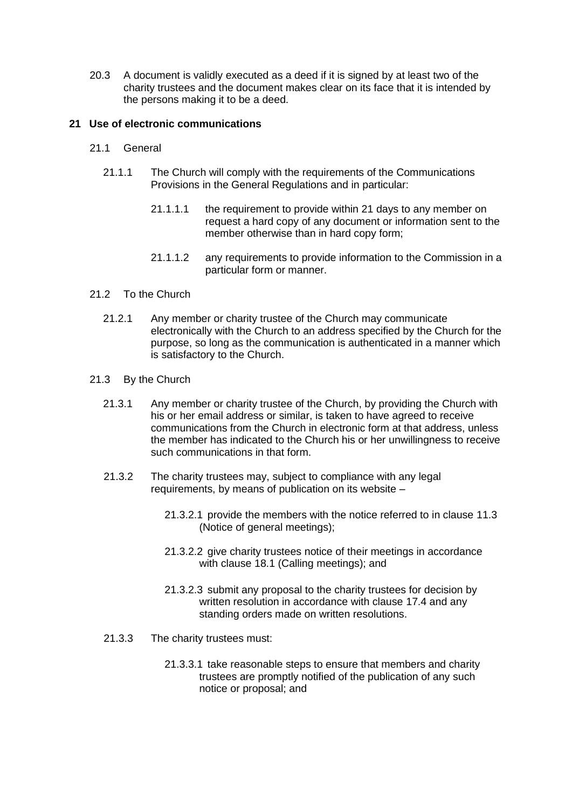20.3 A document is validly executed as a deed if it is signed by at least two of the charity trustees and the document makes clear on its face that it is intended by the persons making it to be a deed.

## **21 Use of electronic communications**

- 21.1 General
	- 21.1.1 The Church will comply with the requirements of the Communications Provisions in the General Regulations and in particular:
		- 21.1.1.1 the requirement to provide within 21 days to any member on request a hard copy of any document or information sent to the member otherwise than in hard copy form;
		- 21.1.1.2 any requirements to provide information to the Commission in a particular form or manner.
- 21.2 To the Church
	- 21.2.1 Any member or charity trustee of the Church may communicate electronically with the Church to an address specified by the Church for the purpose, so long as the communication is authenticated in a manner which is satisfactory to the Church.
- 21.3 By the Church
	- 21.3.1 Any member or charity trustee of the Church, by providing the Church with his or her email address or similar, is taken to have agreed to receive communications from the Church in electronic form at that address, unless the member has indicated to the Church his or her unwillingness to receive such communications in that form.
	- 21.3.2 The charity trustees may, subject to compliance with any legal requirements, by means of publication on its website –
		- 21.3.2.1 provide the members with the notice referred to in clause [11.3](#page-8-1) (Notice of general meetings);
		- 21.3.2.2 give charity trustees notice of their meetings in accordance with clause [18.1](#page-14-2) (Calling meetings); and
		- 21.3.2.3 submit any proposal to the charity trustees for decision by written resolution in accordance with clause [17.4](#page-14-1) and any standing orders made on written resolutions.
	- 21.3.3 The charity trustees must:
		- 21.3.3.1 take reasonable steps to ensure that members and charity trustees are promptly notified of the publication of any such notice or proposal; and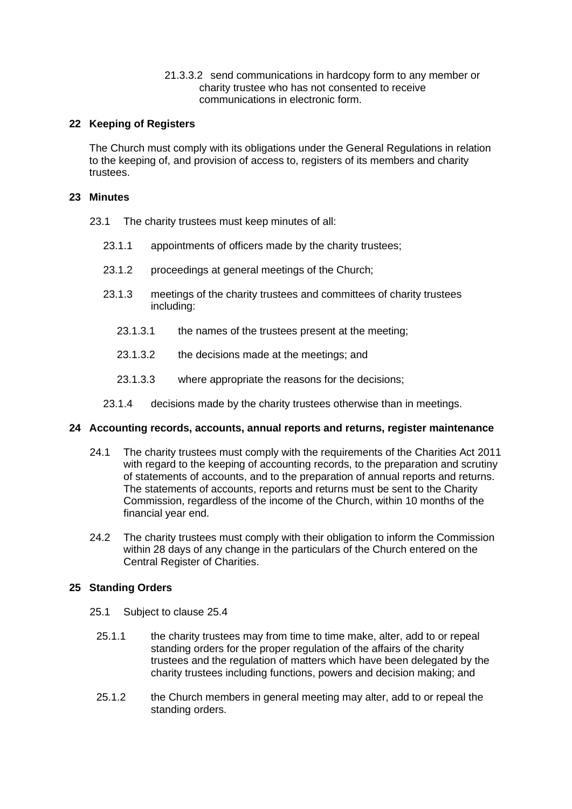21.3.3.2 send communications in hardcopy form to any member or charity trustee who has not consented to receive communications in electronic form.

## **22 Keeping of Registers**

The Church must comply with its obligations under the General Regulations in relation to the keeping of, and provision of access to, registers of its members and charity trustees.

## **23 Minutes**

- 23.1 The charity trustees must keep minutes of all:
	- 23.1.1 appointments of officers made by the charity trustees;
	- 23.1.2 proceedings at general meetings of the Church;
	- 23.1.3 meetings of the charity trustees and committees of charity trustees including:
		- 23.1.3.1 the names of the trustees present at the meeting;
		- 23.1.3.2 the decisions made at the meetings; and
		- 23.1.3.3 where appropriate the reasons for the decisions;
	- 23.1.4 decisions made by the charity trustees otherwise than in meetings.

## **24 Accounting records, accounts, annual reports and returns, register maintenance**

- 24.1 The charity trustees must comply with the requirements of the Charities Act 2011 with regard to the keeping of accounting records, to the preparation and scrutiny of statements of accounts, and to the preparation of annual reports and returns. The statements of accounts, reports and returns must be sent to the Charity Commission, regardless of the income of the Church, within 10 months of the financial year end.
- 24.2 The charity trustees must comply with their obligation to inform the Commission within 28 days of any change in the particulars of the Church entered on the Central Register of Charities.

## <span id="page-17-0"></span>**25 Standing Orders**

- 25.1 Subject to clause [25.4](#page-18-2)
	- 25.1.1 the charity trustees may from time to time make, alter, add to or repeal standing orders for the proper regulation of the affairs of the charity trustees and the regulation of matters which have been delegated by the charity trustees including functions, powers and decision making; and
	- 25.1.2 the Church members in general meeting may alter, add to or repeal the standing orders.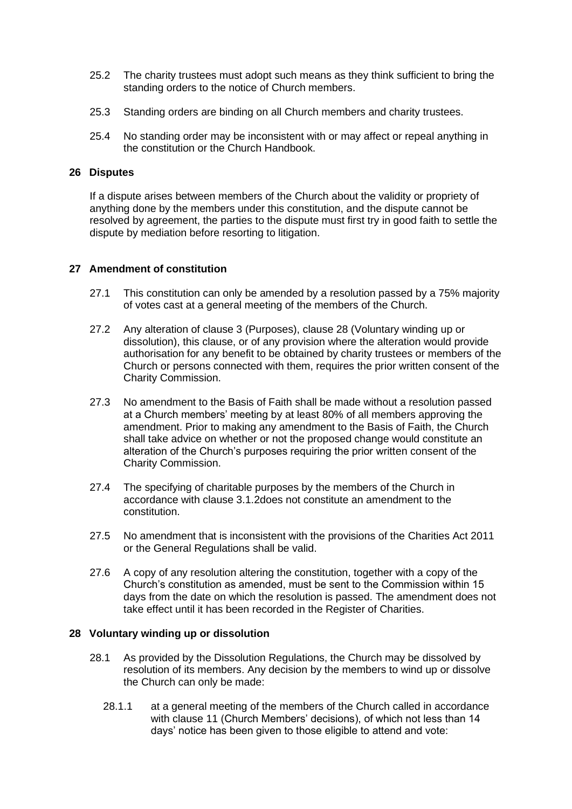- 25.2 The charity trustees must adopt such means as they think sufficient to bring the standing orders to the notice of Church members.
- 25.3 Standing orders are binding on all Church members and charity trustees.
- <span id="page-18-2"></span>25.4 No standing order may be inconsistent with or may affect or repeal anything in the constitution or the Church Handbook.

#### **26 Disputes**

If a dispute arises between members of the Church about the validity or propriety of anything done by the members under this constitution, and the dispute cannot be resolved by agreement, the parties to the dispute must first try in good faith to settle the dispute by mediation before resorting to litigation.

## <span id="page-18-0"></span>**27 Amendment of constitution**

- 27.1 This constitution can only be amended by a resolution passed by a 75% majority of votes cast at a general meeting of the members of the Church.
- 27.2 Any alteration of clause [3](#page-1-0) (Purposes), clause [28](#page-18-1) (Voluntary winding up or dissolution), this clause, or of any provision where the alteration would provide authorisation for any benefit to be obtained by charity trustees or members of the Church or persons connected with them, requires the prior written consent of the Charity Commission.
- <span id="page-18-3"></span>27.3 No amendment to the Basis of Faith shall be made without a resolution passed at a Church members' meeting by at least 80% of all members approving the amendment. Prior to making any amendment to the Basis of Faith, the Church shall take advice on whether or not the proposed change would constitute an alteration of the Church's purposes requiring the prior written consent of the Charity Commission.
- 27.4 The specifying of charitable purposes by the members of the Church in accordance with clause 3.1.2does not constitute an amendment to the constitution.
- 27.5 No amendment that is inconsistent with the provisions of the Charities Act 2011 or the General Regulations shall be valid.
- 27.6 A copy of any resolution altering the constitution, together with a copy of the Church's constitution as amended, must be sent to the Commission within 15 days from the date on which the resolution is passed. The amendment does not take effect until it has been recorded in the Register of Charities.

#### <span id="page-18-1"></span>**28 Voluntary winding up or dissolution**

- 28.1 As provided by the Dissolution Regulations, the Church may be dissolved by resolution of its members. Any decision by the members to wind up or dissolve the Church can only be made:
	- 28.1.1 at a general meeting of the members of the Church called in accordance with clause [11](#page-6-2) (Church Members' decisions), of which not less than 14 days' notice has been given to those eligible to attend and vote: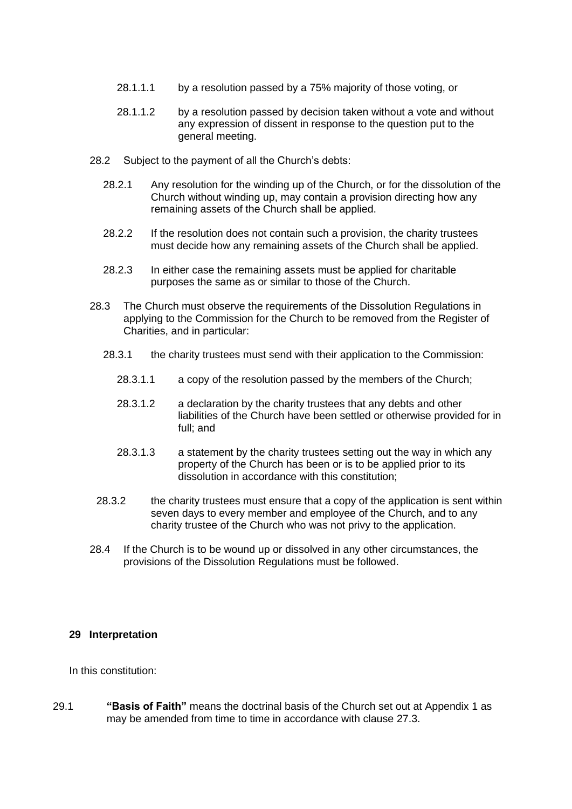- 28.1.1.1 by a resolution passed by a 75% majority of those voting, or
- 28.1.1.2 by a resolution passed by decision taken without a vote and without any expression of dissent in response to the question put to the general meeting.
- 28.2 Subject to the payment of all the Church's debts:
	- 28.2.1 Any resolution for the winding up of the Church, or for the dissolution of the Church without winding up, may contain a provision directing how any remaining assets of the Church shall be applied.
	- 28.2.2 If the resolution does not contain such a provision, the charity trustees must decide how any remaining assets of the Church shall be applied.
	- 28.2.3 In either case the remaining assets must be applied for charitable purposes the same as or similar to those of the Church.
- 28.3 The Church must observe the requirements of the Dissolution Regulations in applying to the Commission for the Church to be removed from the Register of Charities, and in particular:
	- 28.3.1 the charity trustees must send with their application to the Commission:
		- 28.3.1.1 a copy of the resolution passed by the members of the Church;
		- 28.3.1.2 a declaration by the charity trustees that any debts and other liabilities of the Church have been settled or otherwise provided for in full; and
		- 28.3.1.3 a statement by the charity trustees setting out the way in which any property of the Church has been or is to be applied prior to its dissolution in accordance with this constitution;
	- 28.3.2 the charity trustees must ensure that a copy of the application is sent within seven days to every member and employee of the Church, and to any charity trustee of the Church who was not privy to the application.
- 28.4 If the Church is to be wound up or dissolved in any other circumstances, the provisions of the Dissolution Regulations must be followed.

#### **29 Interpretation**

In this constitution:

29.1 **"Basis of Faith"** means the doctrinal basis of the Church set out at Appendix 1 as may be amended from time to time in accordance with clause [27.3.](#page-18-3)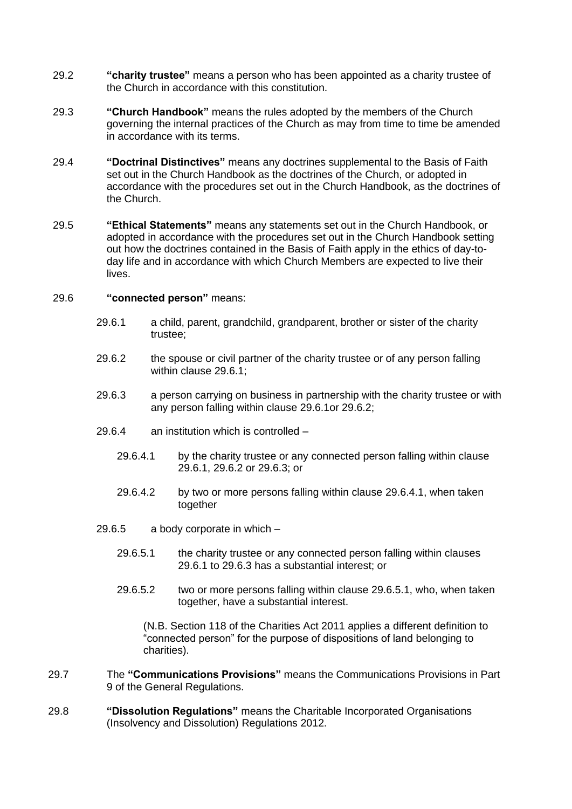- 29.2 **"charity trustee"** means a person who has been appointed as a charity trustee of the Church in accordance with this constitution.
- 29.3 **"Church Handbook"** means the rules adopted by the members of the Church governing the internal practices of the Church as may from time to time be amended in accordance with its terms.
- 29.4 **"Doctrinal Distinctives"** means any doctrines supplemental to the Basis of Faith set out in the Church Handbook as the doctrines of the Church, or adopted in accordance with the procedures set out in the Church Handbook, as the doctrines of the Church.
- 29.5 **"Ethical Statements"** means any statements set out in the Church Handbook, or adopted in accordance with the procedures set out in the Church Handbook setting out how the doctrines contained in the Basis of Faith apply in the ethics of day-today life and in accordance with which Church Members are expected to live their lives.

#### <span id="page-20-0"></span>29.6 **"connected person"** means:

- 29.6.1 a child, parent, grandchild, grandparent, brother or sister of the charity trustee;
- <span id="page-20-1"></span>29.6.2 the spouse or civil partner of the charity trustee or of any person falling within clause [29.6.1;](#page-20-0)
- <span id="page-20-2"></span>29.6.3 a person carrying on business in partnership with the charity trustee or with any person falling within clause [29.6.1o](#page-20-0)r [29.6.2;](#page-20-1)
- <span id="page-20-3"></span>29.6.4 an institution which is controlled –
	- 29.6.4.1 by the charity trustee or any connected person falling within clause [29.6.1,](#page-20-0) [29.6.2](#page-20-1) or [29.6.3;](#page-20-2) or
	- 29.6.4.2 by two or more persons falling within clause [29.6.4.1,](#page-20-3) when taken together
- <span id="page-20-4"></span>29.6.5 a body corporate in which –
	- 29.6.5.1 the charity trustee or any connected person falling within clauses [29.6.1](#page-20-0) to [29.6.3](#page-20-2) has a substantial interest; or
	- 29.6.5.2 two or more persons falling within clause [29.6.5.1,](#page-20-4) who, when taken together, have a substantial interest.

(N.B. Section 118 of the Charities Act 2011 applies a different definition to "connected person" for the purpose of dispositions of land belonging to charities).

- 29.7 The **"Communications Provisions"** means the Communications Provisions in Part 9 of the General Regulations.
- 29.8 **"Dissolution Regulations"** means the Charitable Incorporated Organisations (Insolvency and Dissolution) Regulations 2012.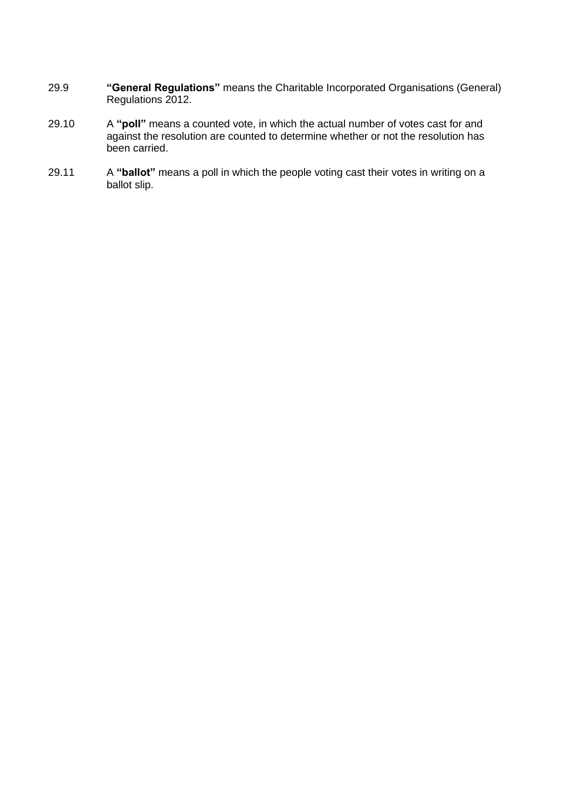- 29.9 **"General Regulations"** means the Charitable Incorporated Organisations (General) Regulations 2012.
- 29.10 A **"poll"** means a counted vote, in which the actual number of votes cast for and against the resolution are counted to determine whether or not the resolution has been carried.
- 29.11 A **"ballot"** means a poll in which the people voting cast their votes in writing on a ballot slip.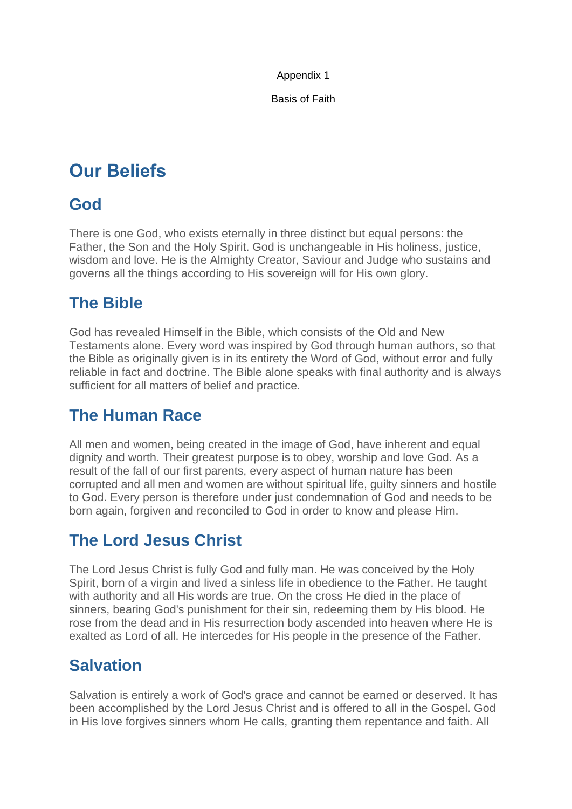Appendix 1

Basis of Faith

# **Our Beliefs**

## **God**

There is one God, who exists eternally in three distinct but equal persons: the Father, the Son and the Holy Spirit. God is unchangeable in His holiness, justice, wisdom and love. He is the Almighty Creator, Saviour and Judge who sustains and governs all the things according to His sovereign will for His own glory.

# **The Bible**

God has revealed Himself in the Bible, which consists of the Old and New Testaments alone. Every word was inspired by God through human authors, so that the Bible as originally given is in its entirety the Word of God, without error and fully reliable in fact and doctrine. The Bible alone speaks with final authority and is always sufficient for all matters of belief and practice.

## **The Human Race**

All men and women, being created in the image of God, have inherent and equal dignity and worth. Their greatest purpose is to obey, worship and love God. As a result of the fall of our first parents, every aspect of human nature has been corrupted and all men and women are without spiritual life, guilty sinners and hostile to God. Every person is therefore under just condemnation of God and needs to be born again, forgiven and reconciled to God in order to know and please Him.

# **The Lord Jesus Christ**

The Lord Jesus Christ is fully God and fully man. He was conceived by the Holy Spirit, born of a virgin and lived a sinless life in obedience to the Father. He taught with authority and all His words are true. On the cross He died in the place of sinners, bearing God's punishment for their sin, redeeming them by His blood. He rose from the dead and in His resurrection body ascended into heaven where He is exalted as Lord of all. He intercedes for His people in the presence of the Father.

# **Salvation**

Salvation is entirely a work of God's grace and cannot be earned or deserved. It has been accomplished by the Lord Jesus Christ and is offered to all in the Gospel. God in His love forgives sinners whom He calls, granting them repentance and faith. All